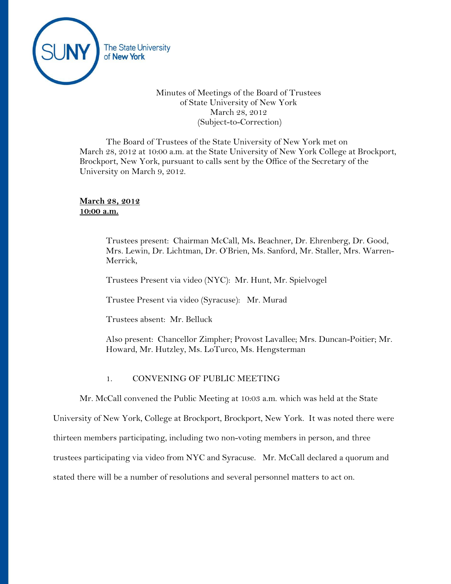

# Minutes of Meetings of the Board of Trustees of State University of New York March 28, 2012 (Subject-to-Correction)

The Board of Trustees of the State University of New York met on March 28, 2012 at 10:00 a.m. at the State University of New York College at Brockport, Brockport, New York, pursuant to calls sent by the Office of the Secretary of the University on March 9, 2012.

# **March 28, 2012 10:00 a.m.**

Trustees present: Chairman McCall, Ms**.** Beachner, Dr. Ehrenberg, Dr. Good, Mrs. Lewin, Dr. Lichtman, Dr. O'Brien, Ms. Sanford, Mr. Staller, Mrs. Warren-Merrick,

Trustees Present via video (NYC): Mr. Hunt, Mr. Spielvogel

Trustee Present via video (Syracuse): Mr. Murad

Trustees absent: Mr. Belluck

Also present: Chancellor Zimpher; Provost Lavallee; Mrs. Duncan-Poitier; Mr. Howard, Mr. Hutzley, Ms. LoTurco, Ms. Hengsterman

## 1. CONVENING OF PUBLIC MEETING

Mr. McCall convened the Public Meeting at 10:03 a.m. which was held at the State

University of New York, College at Brockport, Brockport, New York. It was noted there were

thirteen members participating, including two non-voting members in person, and three

trustees participating via video from NYC and Syracuse. Mr. McCall declared a quorum and

stated there will be a number of resolutions and several personnel matters to act on.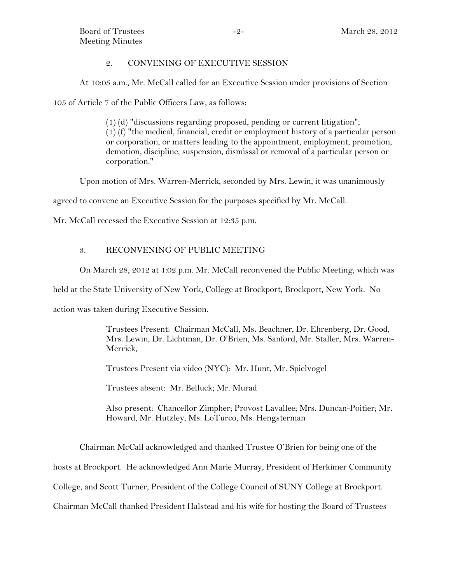# 2. CONVENING OF EXECUTIVE SESSION

At 10:05 a.m., Mr. McCall called for an Executive Session under provisions of Section

105 of Article 7 of the Public Officers Law, as follows:

 $(1)$  (d) "discussions regarding proposed, pending or current litigation"; (1) (f) "the medical, financial, credit or employment history of a particular person or corporation, or matters leading to the appointment, employment, promotion, demotion, discipline, suspension, dismissal or removal of a particular person or corporation."

Upon motion of Mrs. Warren-Merrick, seconded by Mrs. Lewin, it was unanimously

agreed to convene an Executive Session for the purposes specified by Mr. McCall.

Mr. McCall recessed the Executive Session at 12:35 p.m.

# 3. RECONVENING OF PUBLIC MEETING

On March 28, 2012 at 1:02 p.m. Mr. McCall reconvened the Public Meeting, which was

held at the State University of New York, College at Brockport, Brockport, New York. No

action was taken during Executive Session.

Trustees Present: Chairman McCall, Ms**.** Beachner, Dr. Ehrenberg, Dr. Good, Mrs. Lewin, Dr. Lichtman, Dr. O'Brien, Ms. Sanford, Mr. Staller, Mrs. Warren-Merrick,

Trustees Present via video (NYC): Mr. Hunt, Mr. Spielvogel

Trustees absent: Mr. Belluck; Mr. Murad

Also present: Chancellor Zimpher; Provost Lavallee; Mrs. Duncan-Poitier; Mr. Howard, Mr. Hutzley, Ms. LoTurco, Ms. Hengsterman

Chairman McCall acknowledged and thanked Trustee O'Brien for being one of the

hosts at Brockport. He acknowledged Ann Marie Murray, President of Herkimer Community

College, and Scott Turner, President of the College Council of SUNY College at Brockport.

Chairman McCall thanked President Halstead and his wife for hosting the Board of Trustees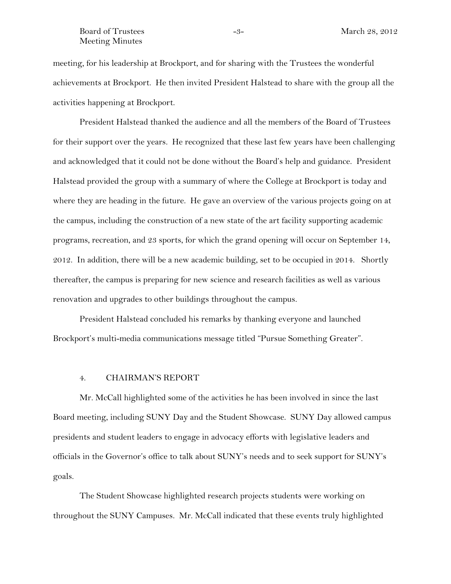#### Board of Trustees  $-3 -3-$  March 28, 2012 Meeting Minutes

meeting, for his leadership at Brockport, and for sharing with the Trustees the wonderful achievements at Brockport. He then invited President Halstead to share with the group all the activities happening at Brockport.

President Halstead thanked the audience and all the members of the Board of Trustees for their support over the years. He recognized that these last few years have been challenging and acknowledged that it could not be done without the Board's help and guidance. President Halstead provided the group with a summary of where the College at Brockport is today and where they are heading in the future. He gave an overview of the various projects going on at the campus, including the construction of a new state of the art facility supporting academic programs, recreation, and 23 sports, for which the grand opening will occur on September 14, 2012. In addition, there will be a new academic building, set to be occupied in 2014. Shortly thereafter, the campus is preparing for new science and research facilities as well as various renovation and upgrades to other buildings throughout the campus.

President Halstead concluded his remarks by thanking everyone and launched Brockport's multi-media communications message titled "Pursue Something Greater".

#### 4. CHAIRMAN'S REPORT

Mr. McCall highlighted some of the activities he has been involved in since the last Board meeting, including SUNY Day and the Student Showcase. SUNY Day allowed campus presidents and student leaders to engage in advocacy efforts with legislative leaders and officials in the Governor's office to talk about SUNY's needs and to seek support for SUNY's goals.

The Student Showcase highlighted research projects students were working on throughout the SUNY Campuses. Mr. McCall indicated that these events truly highlighted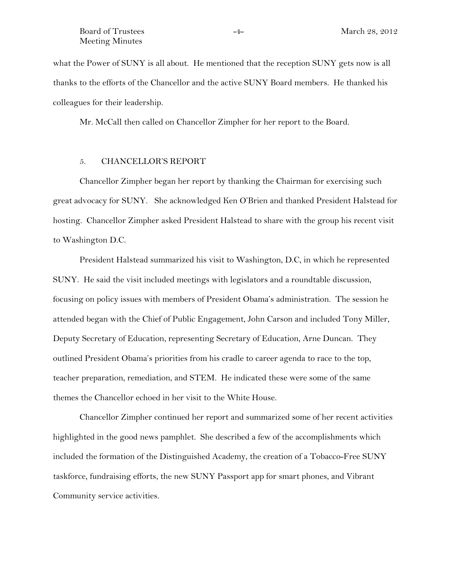what the Power of SUNY is all about. He mentioned that the reception SUNY gets now is all thanks to the efforts of the Chancellor and the active SUNY Board members. He thanked his colleagues for their leadership.

Mr. McCall then called on Chancellor Zimpher for her report to the Board.

## 5. CHANCELLOR'S REPORT

Chancellor Zimpher began her report by thanking the Chairman for exercising such great advocacy for SUNY. She acknowledged Ken O'Brien and thanked President Halstead for hosting. Chancellor Zimpher asked President Halstead to share with the group his recent visit to Washington D.C.

President Halstead summarized his visit to Washington, D.C, in which he represented SUNY. He said the visit included meetings with legislators and a roundtable discussion, focusing on policy issues with members of President Obama's administration. The session he attended began with the Chief of Public Engagement, John Carson and included Tony Miller, Deputy Secretary of Education, representing Secretary of Education, Arne Duncan. They outlined President Obama's priorities from his cradle to career agenda to race to the top, teacher preparation, remediation, and STEM. He indicated these were some of the same themes the Chancellor echoed in her visit to the White House.

Chancellor Zimpher continued her report and summarized some of her recent activities highlighted in the good news pamphlet. She described a few of the accomplishments which included the formation of the Distinguished Academy, the creation of a Tobacco-Free SUNY taskforce, fundraising efforts, the new SUNY Passport app for smart phones, and Vibrant Community service activities.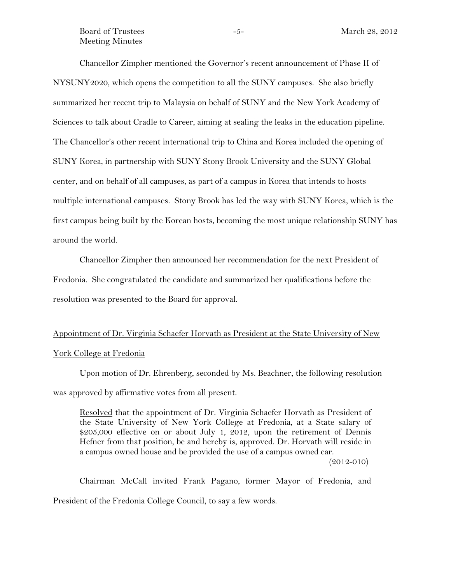Board of Trustees  $-5 -5-$  March 28, 2012 Meeting Minutes

Chancellor Zimpher mentioned the Governor's recent announcement of Phase II of NYSUNY2020, which opens the competition to all the SUNY campuses. She also briefly summarized her recent trip to Malaysia on behalf of SUNY and the New York Academy of Sciences to talk about Cradle to Career, aiming at sealing the leaks in the education pipeline. The Chancellor's other recent international trip to China and Korea included the opening of SUNY Korea, in partnership with SUNY Stony Brook University and the SUNY Global center, and on behalf of all campuses, as part of a campus in Korea that intends to hosts multiple international campuses. Stony Brook has led the way with SUNY Korea, which is the first campus being built by the Korean hosts, becoming the most unique relationship SUNY has around the world.

Chancellor Zimpher then announced her recommendation for the next President of Fredonia. She congratulated the candidate and summarized her qualifications before the resolution was presented to the Board for approval.

# Appointment of Dr. Virginia Schaefer Horvath as President at the State University of New

## York College at Fredonia

Upon motion of Dr. Ehrenberg, seconded by Ms. Beachner, the following resolution was approved by affirmative votes from all present.

Resolved that the appointment of Dr. Virginia Schaefer Horvath as President of the State University of New York College at Fredonia, at a State salary of \$205,000 effective on or about July 1, 2012, upon the retirement of Dennis Hefner from that position, be and hereby is, approved. Dr. Horvath will reside in a campus owned house and be provided the use of a campus owned car.

 $(2012 - 010)$ 

Chairman McCall invited Frank Pagano, former Mayor of Fredonia, and President of the Fredonia College Council, to say a few words.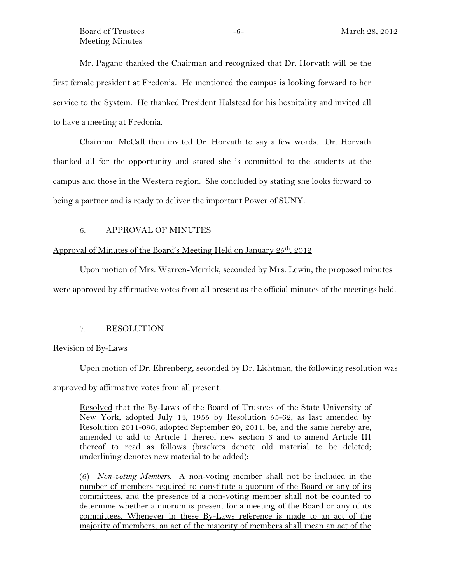Mr. Pagano thanked the Chairman and recognized that Dr. Horvath will be the first female president at Fredonia. He mentioned the campus is looking forward to her service to the System. He thanked President Halstead for his hospitality and invited all to have a meeting at Fredonia.

Chairman McCall then invited Dr. Horvath to say a few words. Dr. Horvath thanked all for the opportunity and stated she is committed to the students at the campus and those in the Western region. She concluded by stating she looks forward to being a partner and is ready to deliver the important Power of SUNY.

## 6. APPROVAL OF MINUTES

## Approval of Minutes of the Board's Meeting Held on January 25<sup>th</sup>, 2012

Upon motion of Mrs. Warren-Merrick, seconded by Mrs. Lewin, the proposed minutes were approved by affirmative votes from all present as the official minutes of the meetings held.

# 7. RESOLUTION

## Revision of By-Laws

Upon motion of Dr. Ehrenberg, seconded by Dr. Lichtman, the following resolution was

approved by affirmative votes from all present.

Resolved that the By-Laws of the Board of Trustees of the State University of New York, adopted July 14, 1955 by Resolution 55-62, as last amended by Resolution 2011-096, adopted September 20, 2011, be, and the same hereby are, amended to add to Article I thereof new section 6 and to amend Article III thereof to read as follows (brackets denote old material to be deleted; underlining denotes new material to be added):

(6) *Non-voting Members.* A non-voting member shall not be included in the number of members required to constitute a quorum of the Board or any of its committees, and the presence of a non-voting member shall not be counted to determine whether a quorum is present for a meeting of the Board or any of its committees. Whenever in these By-Laws reference is made to an act of the majority of members, an act of the majority of members shall mean an act of the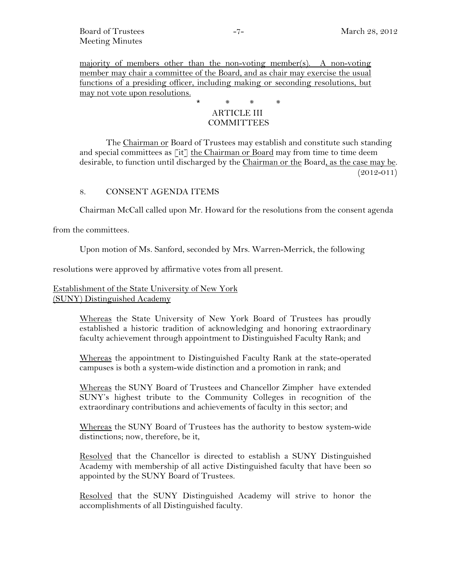majority of members other than the non-voting member(s). A non-voting member may chair a committee of the Board, and as chair may exercise the usual functions of a presiding officer, including making or seconding resolutions, but may not vote upon resolutions.

# \* \* \* \* ARTICLE III **COMMITTEES**

The Chairman or Board of Trustees may establish and constitute such standing and special committees as  $[it]$  the Chairman or Board may from time to time deem desirable, to function until discharged by the Chairman or the Board, as the case may be.  $(2012 - 011)$ 

# 8. CONSENT AGENDA ITEMS

Chairman McCall called upon Mr. Howard for the resolutions from the consent agenda

from the committees.

Upon motion of Ms. Sanford, seconded by Mrs. Warren-Merrick, the following

resolutions were approved by affirmative votes from all present.

# Establishment of the State University of New York (SUNY) Distinguished Academy

Whereas the State University of New York Board of Trustees has proudly established a historic tradition of acknowledging and honoring extraordinary faculty achievement through appointment to Distinguished Faculty Rank; and

Whereas the appointment to Distinguished Faculty Rank at the state-operated campuses is both a system-wide distinction and a promotion in rank; and

Whereas the SUNY Board of Trustees and Chancellor Zimpher have extended SUNY's highest tribute to the Community Colleges in recognition of the extraordinary contributions and achievements of faculty in this sector; and

Whereas the SUNY Board of Trustees has the authority to bestow system-wide distinctions; now, therefore, be it,

Resolved that the Chancellor is directed to establish a SUNY Distinguished Academy with membership of all active Distinguished faculty that have been so appointed by the SUNY Board of Trustees.

Resolved that the SUNY Distinguished Academy will strive to honor the accomplishments of all Distinguished faculty.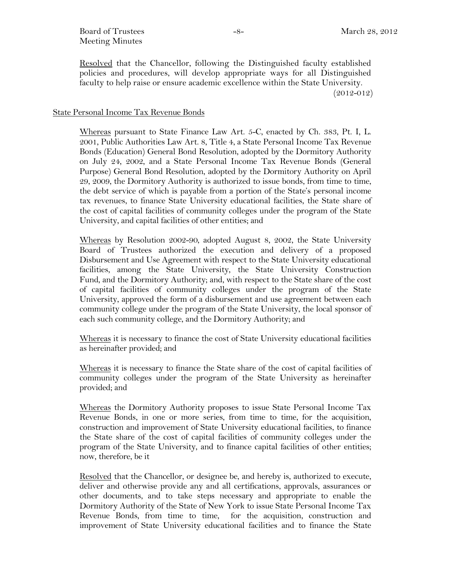Board of Trustees  $-8 -8-$  March 28, 2012 Meeting Minutes

Resolved that the Chancellor, following the Distinguished faculty established policies and procedures, will develop appropriate ways for all Distinguished faculty to help raise or ensure academic excellence within the State University. (2012-012)

#### State Personal Income Tax Revenue Bonds

Whereas pursuant to State Finance Law Art. 5-C, enacted by Ch. 383, Pt. I, L. 2001, Public Authorities Law Art. 8, Title 4, a State Personal Income Tax Revenue Bonds (Education) General Bond Resolution, adopted by the Dormitory Authority on July 24, 2002, and a State Personal Income Tax Revenue Bonds (General Purpose) General Bond Resolution, adopted by the Dormitory Authority on April 29, 2009, the Dormitory Authority is authorized to issue bonds, from time to time, the debt service of which is payable from a portion of the State's personal income tax revenues, to finance State University educational facilities, the State share of the cost of capital facilities of community colleges under the program of the State University, and capital facilities of other entities; and

Whereas by Resolution 2002-90, adopted August 8, 2002, the State University Board of Trustees authorized the execution and delivery of a proposed Disbursement and Use Agreement with respect to the State University educational facilities, among the State University, the State University Construction Fund, and the Dormitory Authority; and, with respect to the State share of the cost of capital facilities of community colleges under the program of the State University, approved the form of a disbursement and use agreement between each community college under the program of the State University, the local sponsor of each such community college, and the Dormitory Authority; and

Whereas it is necessary to finance the cost of State University educational facilities as hereinafter provided; and

Whereas it is necessary to finance the State share of the cost of capital facilities of community colleges under the program of the State University as hereinafter provided; and

Whereas the Dormitory Authority proposes to issue State Personal Income Tax Revenue Bonds, in one or more series, from time to time, for the acquisition, construction and improvement of State University educational facilities, to finance the State share of the cost of capital facilities of community colleges under the program of the State University, and to finance capital facilities of other entities; now, therefore, be it

Resolved that the Chancellor, or designee be, and hereby is, authorized to execute, deliver and otherwise provide any and all certifications, approvals, assurances or other documents, and to take steps necessary and appropriate to enable the Dormitory Authority of the State of New York to issue State Personal Income Tax Revenue Bonds, from time to time, for the acquisition, construction and improvement of State University educational facilities and to finance the State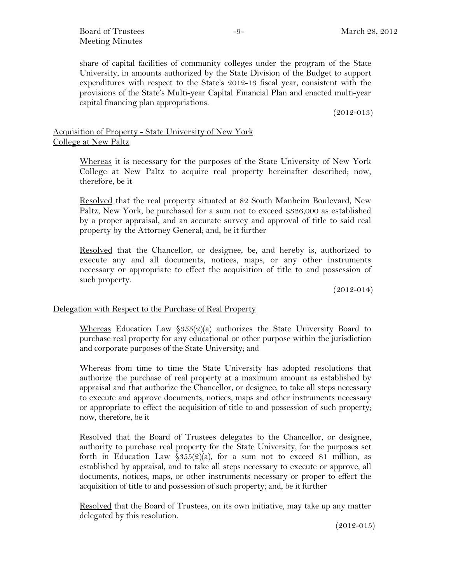Board of Trustees  $-9 -9-$  March 28, 2012 Meeting Minutes

share of capital facilities of community colleges under the program of the State University, in amounts authorized by the State Division of the Budget to support expenditures with respect to the State's 2012-13 fiscal year, consistent with the provisions of the State's Multi-year Capital Financial Plan and enacted multi-year capital financing plan appropriations.

 $(2012 - 013)$ 

# Acquisition of Property - State University of New York College at New Paltz

Whereas it is necessary for the purposes of the State University of New York College at New Paltz to acquire real property hereinafter described; now, therefore, be it

Resolved that the real property situated at 82 South Manheim Boulevard, New Paltz, New York, be purchased for a sum not to exceed \$326,000 as established by a proper appraisal, and an accurate survey and approval of title to said real property by the Attorney General; and, be it further

Resolved that the Chancellor, or designee, be, and hereby is, authorized to execute any and all documents, notices, maps, or any other instruments necessary or appropriate to effect the acquisition of title to and possession of such property.

 $(2012 - 014)$ 

# Delegation with Respect to the Purchase of Real Property

Whereas Education Law  $\frac{\$355(2)}{a}$  authorizes the State University Board to purchase real property for any educational or other purpose within the jurisdiction and corporate purposes of the State University; and

Whereas from time to time the State University has adopted resolutions that authorize the purchase of real property at a maximum amount as established by appraisal and that authorize the Chancellor, or designee, to take all steps necessary to execute and approve documents, notices, maps and other instruments necessary or appropriate to effect the acquisition of title to and possession of such property; now, therefore, be it

Resolved that the Board of Trustees delegates to the Chancellor, or designee, authority to purchase real property for the State University, for the purposes set forth in Education Law  $\frac{6355(2)}{a}$ , for a sum not to exceed \$1 million, as established by appraisal, and to take all steps necessary to execute or approve, all documents, notices, maps, or other instruments necessary or proper to effect the acquisition of title to and possession of such property; and, be it further

Resolved that the Board of Trustees, on its own initiative, may take up any matter delegated by this resolution.

 $(2012 - 015)$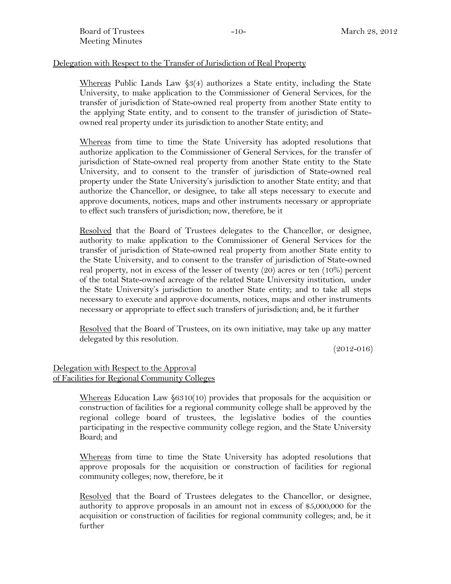# Delegation with Respect to the Transfer of Jurisdiction of Real Property

Whereas Public Lands Law §3(4) authorizes a State entity, including the State University, to make application to the Commissioner of General Services, for the transfer of jurisdiction of State-owned real property from another State entity to the applying State entity, and to consent to the transfer of jurisdiction of Stateowned real property under its jurisdiction to another State entity; and

Whereas from time to time the State University has adopted resolutions that authorize application to the Commissioner of General Services, for the transfer of jurisdiction of State-owned real property from another State entity to the State University, and to consent to the transfer of jurisdiction of State-owned real property under the State University's jurisdiction to another State entity; and that authorize the Chancellor, or designee, to take all steps necessary to execute and approve documents, notices, maps and other instruments necessary or appropriate to effect such transfers of jurisdiction; now, therefore, be it

Resolved that the Board of Trustees delegates to the Chancellor, or designee, authority to make application to the Commissioner of General Services for the transfer of jurisdiction of State-owned real property from another State entity to the State University, and to consent to the transfer of jurisdiction of State-owned real property, not in excess of the lesser of twenty (20) acres or ten (10%) percent of the total State-owned acreage of the related State University institution, under the State University's jurisdiction to another State entity; and to take all steps necessary to execute and approve documents, notices, maps and other instruments necessary or appropriate to effect such transfers of jurisdiction; and, be it further

Resolved that the Board of Trustees, on its own initiative, may take up any matter delegated by this resolution.

 $(2012 - 016)$ 

# Delegation with Respect to the Approval of Facilities for Regional Community Colleges

Whereas Education Law §6310(10) provides that proposals for the acquisition or construction of facilities for a regional community college shall be approved by the regional college board of trustees, the legislative bodies of the counties participating in the respective community college region, and the State University Board; and

Whereas from time to time the State University has adopted resolutions that approve proposals for the acquisition or construction of facilities for regional community colleges; now, therefore, be it

Resolved that the Board of Trustees delegates to the Chancellor, or designee, authority to approve proposals in an amount not in excess of \$5,000,000 for the acquisition or construction of facilities for regional community colleges; and, be it further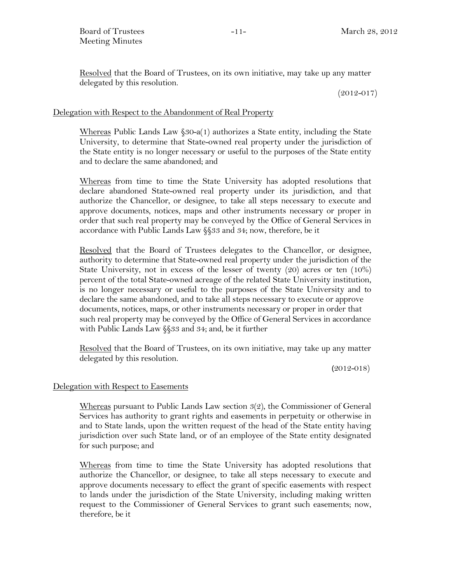Resolved that the Board of Trustees, on its own initiative, may take up any matter delegated by this resolution.

 $(2012 - 017)$ 

## Delegation with Respect to the Abandonment of Real Property

Whereas Public Lands Law §30-a(1) authorizes a State entity, including the State University, to determine that State-owned real property under the jurisdiction of the State entity is no longer necessary or useful to the purposes of the State entity and to declare the same abandoned; and

Whereas from time to time the State University has adopted resolutions that declare abandoned State-owned real property under its jurisdiction, and that authorize the Chancellor, or designee, to take all steps necessary to execute and approve documents, notices, maps and other instruments necessary or proper in order that such real property may be conveyed by the Office of General Services in accordance with Public Lands Law §§33 and 34; now, therefore, be it

Resolved that the Board of Trustees delegates to the Chancellor, or designee, authority to determine that State-owned real property under the jurisdiction of the State University, not in excess of the lesser of twenty (20) acres or ten (10%) percent of the total State-owned acreage of the related State University institution, is no longer necessary or useful to the purposes of the State University and to declare the same abandoned, and to take all steps necessary to execute or approve documents, notices, maps, or other instruments necessary or proper in order that such real property may be conveyed by the Office of General Services in accordance with Public Lands Law §§33 and 34; and, be it further

Resolved that the Board of Trustees, on its own initiative, may take up any matter delegated by this resolution.

(2012-018)

## Delegation with Respect to Easements

Whereas pursuant to Public Lands Law section 3(2), the Commissioner of General Services has authority to grant rights and easements in perpetuity or otherwise in and to State lands, upon the written request of the head of the State entity having jurisdiction over such State land, or of an employee of the State entity designated for such purpose; and

Whereas from time to time the State University has adopted resolutions that authorize the Chancellor, or designee, to take all steps necessary to execute and approve documents necessary to effect the grant of specific easements with respect to lands under the jurisdiction of the State University, including making written request to the Commissioner of General Services to grant such easements; now, therefore, be it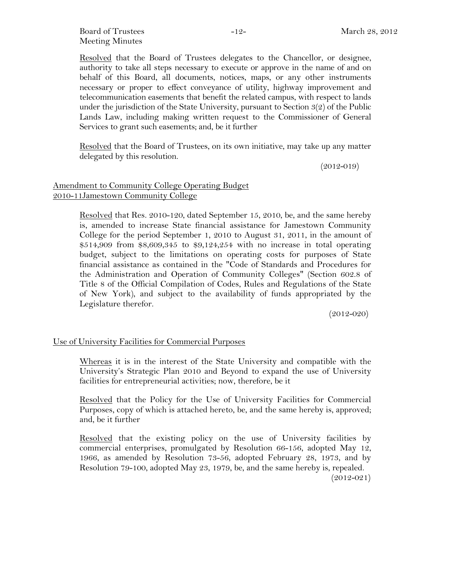Board of Trustees  $-12-$  March 28, 2012 Meeting Minutes

Resolved that the Board of Trustees delegates to the Chancellor, or designee, authority to take all steps necessary to execute or approve in the name of and on behalf of this Board, all documents, notices, maps, or any other instruments necessary or proper to effect conveyance of utility, highway improvement and telecommunication easements that benefit the related campus, with respect to lands under the jurisdiction of the State University, pursuant to Section 3(2) of the Public Lands Law, including making written request to the Commissioner of General Services to grant such easements; and, be it further

Resolved that the Board of Trustees, on its own initiative, may take up any matter delegated by this resolution.

 $(2012 - 019)$ 

# Amendment to Community College Operating Budget 2010-11Jamestown Community College

Resolved that Res. 2010-120, dated September 15, 2010, be, and the same hereby is, amended to increase State financial assistance for Jamestown Community College for the period September 1, 2010 to August 31, 2011, in the amount of \$514,909 from \$8,609,345 to \$9,124,254 with no increase in total operating budget, subject to the limitations on operating costs for purposes of State financial assistance as contained in the "Code of Standards and Procedures for the Administration and Operation of Community Colleges" (Section 602.8 of Title 8 of the Official Compilation of Codes, Rules and Regulations of the State of New York), and subject to the availability of funds appropriated by the Legislature therefor.

 $(2012 - 020)$ 

## Use of University Facilities for Commercial Purposes

Whereas it is in the interest of the State University and compatible with the University's Strategic Plan 2010 and Beyond to expand the use of University facilities for entrepreneurial activities; now, therefore, be it

Resolved that the Policy for the Use of University Facilities for Commercial Purposes, copy of which is attached hereto, be, and the same hereby is, approved; and, be it further

Resolved that the existing policy on the use of University facilities by commercial enterprises, promulgated by Resolution 66-156, adopted May 12, 1966, as amended by Resolution 73-56, adopted February 28, 1973, and by Resolution 79-100, adopted May 23, 1979, be, and the same hereby is, repealed.  $(2012 - 021)$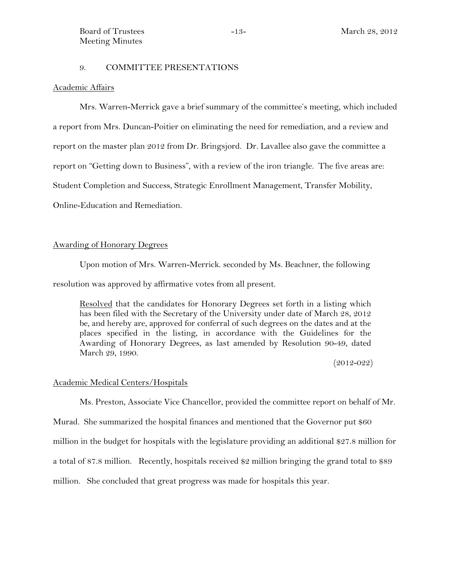#### 9. COMMITTEE PRESENTATIONS

#### Academic Affairs

Mrs. Warren-Merrick gave a brief summary of the committee's meeting, which included a report from Mrs. Duncan-Poitier on eliminating the need for remediation, and a review and report on the master plan 2012 from Dr. Bringsjord. Dr. Lavallee also gave the committee a report on "Getting down to Business", with a review of the iron triangle. The five areas are: Student Completion and Success, Strategic Enrollment Management, Transfer Mobility, Online-Education and Remediation.

## Awarding of Honorary Degrees

Upon motion of Mrs. Warren-Merrick. seconded by Ms. Beachner, the following resolution was approved by affirmative votes from all present.

Resolved that the candidates for Honorary Degrees set forth in a listing which has been filed with the Secretary of the University under date of March 28, 2012 be, and hereby are, approved for conferral of such degrees on the dates and at the places specified in the listing, in accordance with the Guidelines for the Awarding of Honorary Degrees, as last amended by Resolution 90-49, dated March 29, 1990.

(2012-022)

#### Academic Medical Centers/Hospitals

Ms. Preston, Associate Vice Chancellor, provided the committee report on behalf of Mr.

Murad. She summarized the hospital finances and mentioned that the Governor put \$60 million in the budget for hospitals with the legislature providing an additional \$27.8 million for a total of 87.8 million. Recently, hospitals received \$2 million bringing the grand total to \$89 million. She concluded that great progress was made for hospitals this year.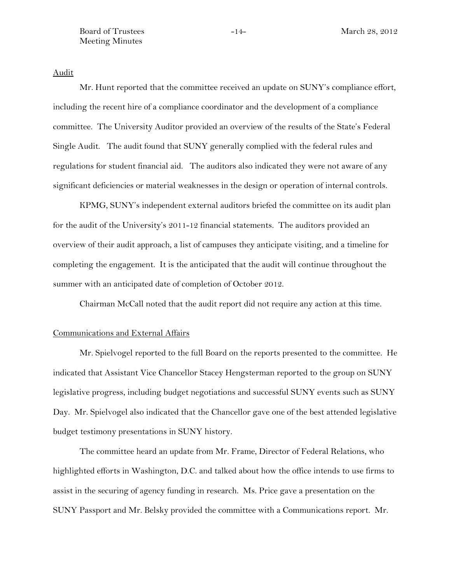Board of Trustees  $-14-$  March 28, 2012 Meeting Minutes

Audit

Mr. Hunt reported that the committee received an update on SUNY's compliance effort, including the recent hire of a compliance coordinator and the development of a compliance committee. The University Auditor provided an overview of the results of the State's Federal Single Audit. The audit found that SUNY generally complied with the federal rules and regulations for student financial aid. The auditors also indicated they were not aware of any significant deficiencies or material weaknesses in the design or operation of internal controls.

KPMG, SUNY's independent external auditors briefed the committee on its audit plan for the audit of the University's 2011-12 financial statements. The auditors provided an overview of their audit approach, a list of campuses they anticipate visiting, and a timeline for completing the engagement. It is the anticipated that the audit will continue throughout the summer with an anticipated date of completion of October 2012.

Chairman McCall noted that the audit report did not require any action at this time.

#### Communications and External Affairs

Mr. Spielvogel reported to the full Board on the reports presented to the committee. He indicated that Assistant Vice Chancellor Stacey Hengsterman reported to the group on SUNY legislative progress, including budget negotiations and successful SUNY events such as SUNY Day. Mr. Spielvogel also indicated that the Chancellor gave one of the best attended legislative budget testimony presentations in SUNY history.

The committee heard an update from Mr. Frame, Director of Federal Relations, who highlighted efforts in Washington, D.C. and talked about how the office intends to use firms to assist in the securing of agency funding in research. Ms. Price gave a presentation on the SUNY Passport and Mr. Belsky provided the committee with a Communications report. Mr.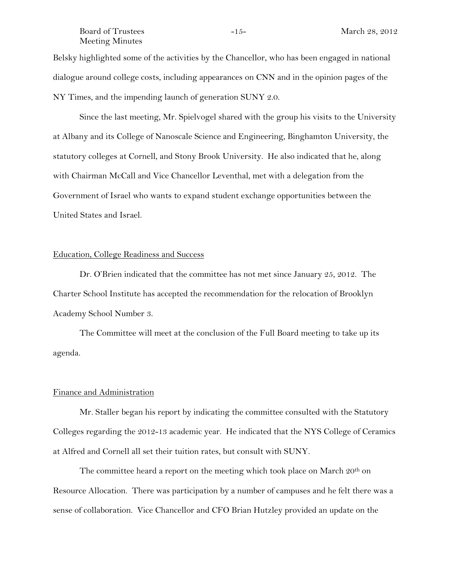#### Board of Trustees  $-15-$  March 28, 2012 Meeting Minutes

Belsky highlighted some of the activities by the Chancellor, who has been engaged in national dialogue around college costs, including appearances on CNN and in the opinion pages of the NY Times, and the impending launch of generation SUNY 2.0.

Since the last meeting, Mr. Spielvogel shared with the group his visits to the University at Albany and its College of Nanoscale Science and Engineering, Binghamton University, the statutory colleges at Cornell, and Stony Brook University. He also indicated that he, along with Chairman McCall and Vice Chancellor Leventhal, met with a delegation from the Government of Israel who wants to expand student exchange opportunities between the United States and Israel.

# Education, College Readiness and Success

Dr. O'Brien indicated that the committee has not met since January 25, 2012. The Charter School Institute has accepted the recommendation for the relocation of Brooklyn Academy School Number 3.

The Committee will meet at the conclusion of the Full Board meeting to take up its agenda.

#### Finance and Administration

Mr. Staller began his report by indicating the committee consulted with the Statutory Colleges regarding the 2012-13 academic year. He indicated that the NYS College of Ceramics at Alfred and Cornell all set their tuition rates, but consult with SUNY.

The committee heard a report on the meeting which took place on March  $20<sup>th</sup>$  on Resource Allocation. There was participation by a number of campuses and he felt there was a sense of collaboration. Vice Chancellor and CFO Brian Hutzley provided an update on the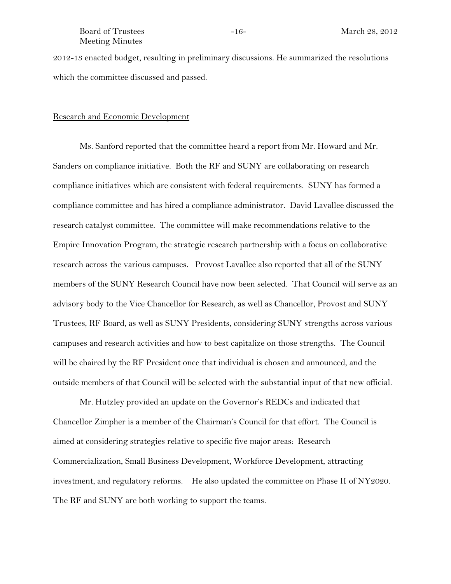#### Board of Trustees -16- 16- March 28, 2012 Meeting Minutes

2012-13 enacted budget, resulting in preliminary discussions. He summarized the resolutions which the committee discussed and passed.

#### Research and Economic Development

Ms. Sanford reported that the committee heard a report from Mr. Howard and Mr. Sanders on compliance initiative. Both the RF and SUNY are collaborating on research compliance initiatives which are consistent with federal requirements. SUNY has formed a compliance committee and has hired a compliance administrator. David Lavallee discussed the research catalyst committee. The committee will make recommendations relative to the Empire Innovation Program, the strategic research partnership with a focus on collaborative research across the various campuses. Provost Lavallee also reported that all of the SUNY members of the SUNY Research Council have now been selected. That Council will serve as an advisory body to the Vice Chancellor for Research, as well as Chancellor, Provost and SUNY Trustees, RF Board, as well as SUNY Presidents, considering SUNY strengths across various campuses and research activities and how to best capitalize on those strengths. The Council will be chaired by the RF President once that individual is chosen and announced, and the outside members of that Council will be selected with the substantial input of that new official.

Mr. Hutzley provided an update on the Governor's REDCs and indicated that Chancellor Zimpher is a member of the Chairman's Council for that effort. The Council is aimed at considering strategies relative to specific five major areas: Research Commercialization, Small Business Development, Workforce Development, attracting investment, and regulatory reforms. He also updated the committee on Phase II of NY2020. The RF and SUNY are both working to support the teams.